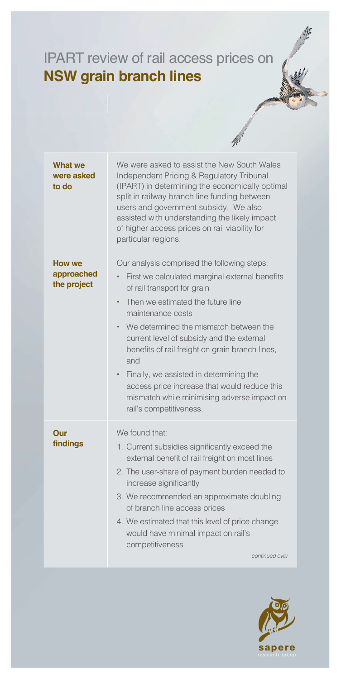## IPART review of rail access prices on **NSW grain branch lines**

| <b>What we</b><br>were asked<br>to do      | We were asked to assist the New South Wales<br>Independent Pricing & Regulatory Tribunal<br>(IPART) in determining the economically optimal<br>split in railway branch line funding between<br>users and government subsidy. We also<br>assisted with understanding the likely impact<br>of higher access prices on rail viability for<br>particular regions.                                                                                                                                                                                         |
|--------------------------------------------|-------------------------------------------------------------------------------------------------------------------------------------------------------------------------------------------------------------------------------------------------------------------------------------------------------------------------------------------------------------------------------------------------------------------------------------------------------------------------------------------------------------------------------------------------------|
| <b>How we</b><br>approached<br>the project | Our analysis comprised the following steps:<br>First we calculated marginal external benefits<br>$\bullet$<br>of rail transport for grain<br>Then we estimated the future line<br>$\bullet$<br>maintenance costs<br>We determined the mismatch between the<br>$\bullet$<br>current level of subsidy and the external<br>benefits of rail freight on grain branch lines,<br>and<br>• Finally, we assisted in determining the<br>access price increase that would reduce this<br>mismatch while minimising adverse impact on<br>rail's competitiveness. |
| Our<br>findings                            | We found that:<br>1. Current subsidies significantly exceed the<br>external benefit of rail freight on most lines<br>2. The user-share of payment burden needed to<br>increase significantly<br>3. We recommended an approximate doubling<br>of branch line access prices<br>4. We estimated that this level of price change<br>would have minimal impact on rail's<br>competitiveness<br>continued over                                                                                                                                              |